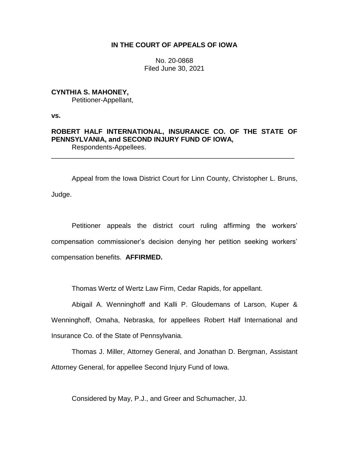# **IN THE COURT OF APPEALS OF IOWA**

No. 20-0868 Filed June 30, 2021

# **CYNTHIA S. MAHONEY,** Petitioner-Appellant,

**vs.**

# **ROBERT HALF INTERNATIONAL, INSURANCE CO. OF THE STATE OF PENNSYLVANIA, and SECOND INJURY FUND OF IOWA,** Respondents-Appellees.

\_\_\_\_\_\_\_\_\_\_\_\_\_\_\_\_\_\_\_\_\_\_\_\_\_\_\_\_\_\_\_\_\_\_\_\_\_\_\_\_\_\_\_\_\_\_\_\_\_\_\_\_\_\_\_\_\_\_\_\_\_\_\_\_

Appeal from the Iowa District Court for Linn County, Christopher L. Bruns, Judge.

Petitioner appeals the district court ruling affirming the workers' compensation commissioner's decision denying her petition seeking workers' compensation benefits. **AFFIRMED.**

Thomas Wertz of Wertz Law Firm, Cedar Rapids, for appellant.

Abigail A. Wenninghoff and Kalli P. Gloudemans of Larson, Kuper & Wenninghoff, Omaha, Nebraska, for appellees Robert Half International and Insurance Co. of the State of Pennsylvania.

Thomas J. Miller, Attorney General, and Jonathan D. Bergman, Assistant Attorney General, for appellee Second Injury Fund of Iowa.

Considered by May, P.J., and Greer and Schumacher, JJ.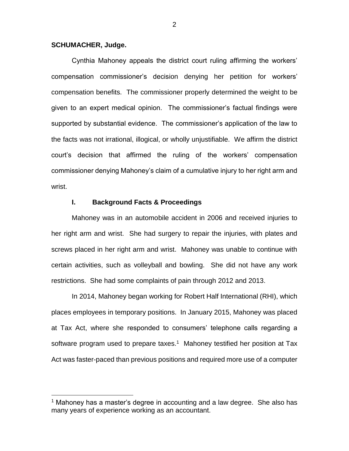### **SCHUMACHER, Judge.**

 $\overline{a}$ 

Cynthia Mahoney appeals the district court ruling affirming the workers' compensation commissioner's decision denying her petition for workers' compensation benefits. The commissioner properly determined the weight to be given to an expert medical opinion. The commissioner's factual findings were supported by substantial evidence. The commissioner's application of the law to the facts was not irrational, illogical, or wholly unjustifiable. We affirm the district court's decision that affirmed the ruling of the workers' compensation commissioner denying Mahoney's claim of a cumulative injury to her right arm and wrist.

### **I. Background Facts & Proceedings**

Mahoney was in an automobile accident in 2006 and received injuries to her right arm and wrist. She had surgery to repair the injuries, with plates and screws placed in her right arm and wrist. Mahoney was unable to continue with certain activities, such as volleyball and bowling. She did not have any work restrictions. She had some complaints of pain through 2012 and 2013.

In 2014, Mahoney began working for Robert Half International (RHI), which places employees in temporary positions. In January 2015, Mahoney was placed at Tax Act, where she responded to consumers' telephone calls regarding a software program used to prepare taxes.<sup>1</sup> Mahoney testified her position at Tax Act was faster-paced than previous positions and required more use of a computer

<sup>&</sup>lt;sup>1</sup> Mahoney has a master's degree in accounting and a law degree. She also has many years of experience working as an accountant.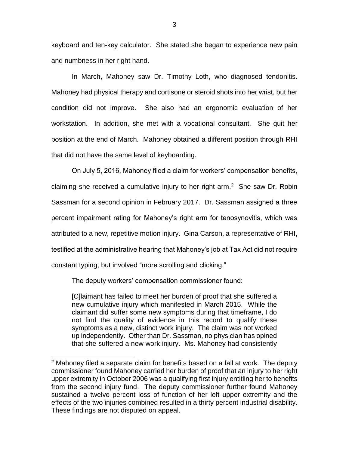keyboard and ten-key calculator. She stated she began to experience new pain and numbness in her right hand.

In March, Mahoney saw Dr. Timothy Loth, who diagnosed tendonitis. Mahoney had physical therapy and cortisone or steroid shots into her wrist, but her condition did not improve. She also had an ergonomic evaluation of her workstation. In addition, she met with a vocational consultant. She quit her position at the end of March. Mahoney obtained a different position through RHI that did not have the same level of keyboarding.

On July 5, 2016, Mahoney filed a claim for workers' compensation benefits, claiming she received a cumulative injury to her right  $arm.^2$  She saw Dr. Robin Sassman for a second opinion in February 2017. Dr. Sassman assigned a three percent impairment rating for Mahoney's right arm for tenosynovitis, which was attributed to a new, repetitive motion injury. Gina Carson, a representative of RHI, testified at the administrative hearing that Mahoney's job at Tax Act did not require constant typing, but involved "more scrolling and clicking."

The deputy workers' compensation commissioner found:

 $\overline{a}$ 

[C]laimant has failed to meet her burden of proof that she suffered a new cumulative injury which manifested in March 2015. While the claimant did suffer some new symptoms during that timeframe, I do not find the quality of evidence in this record to qualify these symptoms as a new, distinct work injury. The claim was not worked up independently. Other than Dr. Sassman, no physician has opined that she suffered a new work injury. Ms. Mahoney had consistently

 $2$  Mahoney filed a separate claim for benefits based on a fall at work. The deputy commissioner found Mahoney carried her burden of proof that an injury to her right upper extremity in October 2006 was a qualifying first injury entitling her to benefits from the second injury fund. The deputy commissioner further found Mahoney sustained a twelve percent loss of function of her left upper extremity and the effects of the two injuries combined resulted in a thirty percent industrial disability. These findings are not disputed on appeal.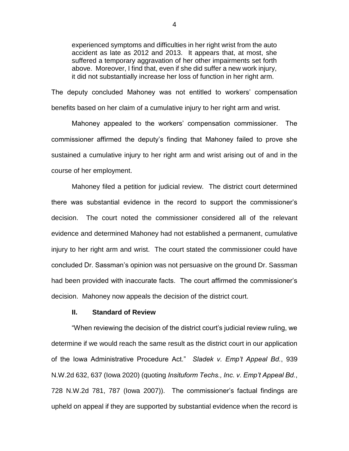experienced symptoms and difficulties in her right wrist from the auto accident as late as 2012 and 2013. It appears that, at most, she suffered a temporary aggravation of her other impairments set forth above. Moreover, I find that, even if she did suffer a new work injury, it did not substantially increase her loss of function in her right arm.

The deputy concluded Mahoney was not entitled to workers' compensation benefits based on her claim of a cumulative injury to her right arm and wrist.

Mahoney appealed to the workers' compensation commissioner. The commissioner affirmed the deputy's finding that Mahoney failed to prove she sustained a cumulative injury to her right arm and wrist arising out of and in the course of her employment.

Mahoney filed a petition for judicial review. The district court determined there was substantial evidence in the record to support the commissioner's decision. The court noted the commissioner considered all of the relevant evidence and determined Mahoney had not established a permanent, cumulative injury to her right arm and wrist. The court stated the commissioner could have concluded Dr. Sassman's opinion was not persuasive on the ground Dr. Sassman had been provided with inaccurate facts. The court affirmed the commissioner's decision. Mahoney now appeals the decision of the district court.

## **II. Standard of Review**

"When reviewing the decision of the district court's judicial review ruling, we determine if we would reach the same result as the district court in our application of the Iowa Administrative Procedure Act." *Sladek v. Emp't Appeal Bd.*, 939 N.W.2d 632, 637 (Iowa 2020) (quoting *Insituform Techs., Inc. v. Emp't Appeal Bd.*, 728 N.W.2d 781, 787 (Iowa 2007)). The commissioner's factual findings are upheld on appeal if they are supported by substantial evidence when the record is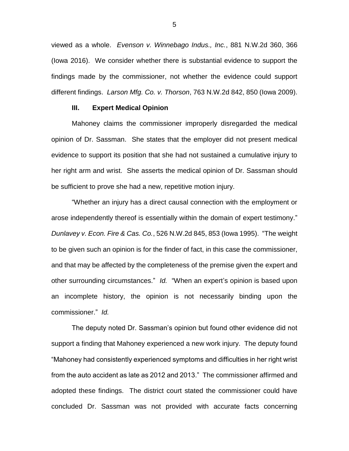viewed as a whole. *Evenson v. Winnebago Indus., Inc.*, 881 N.W.2d 360, 366 (Iowa 2016). We consider whether there is substantial evidence to support the findings made by the commissioner, not whether the evidence could support different findings. *Larson Mfg. Co. v. Thorson*, 763 N.W.2d 842, 850 (Iowa 2009).

### **III. Expert Medical Opinion**

Mahoney claims the commissioner improperly disregarded the medical opinion of Dr. Sassman. She states that the employer did not present medical evidence to support its position that she had not sustained a cumulative injury to her right arm and wrist. She asserts the medical opinion of Dr. Sassman should be sufficient to prove she had a new, repetitive motion injury.

"Whether an injury has a direct causal connection with the employment or arose independently thereof is essentially within the domain of expert testimony." *Dunlavey v. Econ. Fire & Cas. Co.*, 526 N.W.2d 845, 853 (Iowa 1995). "The weight to be given such an opinion is for the finder of fact, in this case the commissioner, and that may be affected by the completeness of the premise given the expert and other surrounding circumstances." *Id.* "When an expert's opinion is based upon an incomplete history, the opinion is not necessarily binding upon the commissioner." *Id.*

The deputy noted Dr. Sassman's opinion but found other evidence did not support a finding that Mahoney experienced a new work injury. The deputy found "Mahoney had consistently experienced symptoms and difficulties in her right wrist from the auto accident as late as 2012 and 2013." The commissioner affirmed and adopted these findings. The district court stated the commissioner could have concluded Dr. Sassman was not provided with accurate facts concerning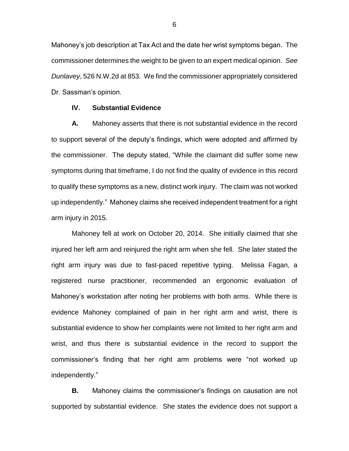Mahoney's job description at Tax Act and the date her wrist symptoms began. The commissioner determines the weight to be given to an expert medical opinion. *See Dunlavey*, 526 N.W.2d at 853*.* We find the commissioner appropriately considered Dr. Sassman's opinion.

### **IV. Substantial Evidence**

**A.** Mahoney asserts that there is not substantial evidence in the record to support several of the deputy's findings, which were adopted and affirmed by the commissioner. The deputy stated, "While the claimant did suffer some new symptoms during that timeframe, I do not find the quality of evidence in this record to qualify these symptoms as a new, distinct work injury. The claim was not worked up independently." Mahoney claims she received independent treatment for a right arm injury in 2015.

Mahoney fell at work on October 20, 2014. She initially claimed that she injured her left arm and reinjured the right arm when she fell. She later stated the right arm injury was due to fast-paced repetitive typing. Melissa Fagan, a registered nurse practitioner, recommended an ergonomic evaluation of Mahoney's workstation after noting her problems with both arms. While there is evidence Mahoney complained of pain in her right arm and wrist, there is substantial evidence to show her complaints were not limited to her right arm and wrist, and thus there is substantial evidence in the record to support the commissioner's finding that her right arm problems were "not worked up independently."

**B.** Mahoney claims the commissioner's findings on causation are not supported by substantial evidence. She states the evidence does not support a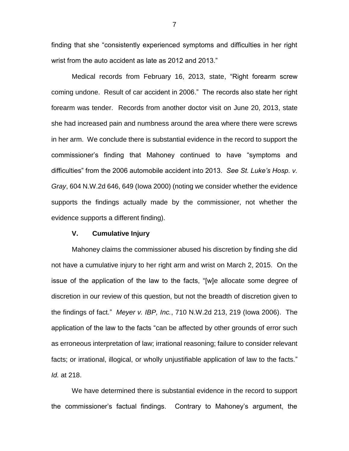finding that she "consistently experienced symptoms and difficulties in her right wrist from the auto accident as late as 2012 and 2013."

Medical records from February 16, 2013, state, "Right forearm screw coming undone. Result of car accident in 2006." The records also state her right forearm was tender. Records from another doctor visit on June 20, 2013, state she had increased pain and numbness around the area where there were screws in her arm. We conclude there is substantial evidence in the record to support the commissioner's finding that Mahoney continued to have "symptoms and difficulties" from the 2006 automobile accident into 2013. *See St. Luke's Hosp. v. Gray*, 604 N.W.2d 646, 649 (Iowa 2000) (noting we consider whether the evidence supports the findings actually made by the commissioner, not whether the evidence supports a different finding).

## **V. Cumulative Injury**

Mahoney claims the commissioner abused his discretion by finding she did not have a cumulative injury to her right arm and wrist on March 2, 2015. On the issue of the application of the law to the facts, "[w]e allocate some degree of discretion in our review of this question, but not the breadth of discretion given to the findings of fact." *Meyer v. IBP, Inc.*, 710 N.W.2d 213, 219 (Iowa 2006). The application of the law to the facts "can be affected by other grounds of error such as erroneous interpretation of law; irrational reasoning; failure to consider relevant facts; or irrational, illogical, or wholly unjustifiable application of law to the facts." *Id.* at 218.

We have determined there is substantial evidence in the record to support the commissioner's factual findings. Contrary to Mahoney's argument, the

7